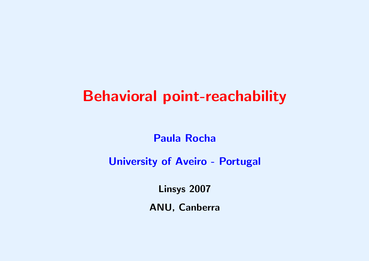# Behavioral point-reachability

## Paula Rocha

## University of Aveiro - Portugal

Linsys 2007

ANU, Canberra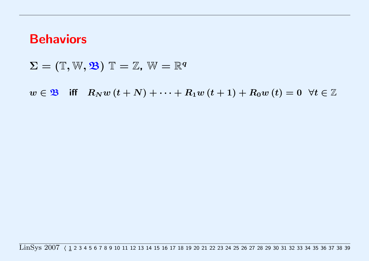## Behaviors

 $\Sigma = (\mathbb{T}, \mathbb{W}, \mathfrak{B}) \mathbb{T} = \mathbb{Z}, \mathbb{W} = \mathbb{R}^q$ 

 $w \in \mathfrak{B}$  iff  $R_N w(t+N) + \cdots + R_1 w(t+1) + R_0 w(t) = 0 \ \forall t \in \mathbb{Z}$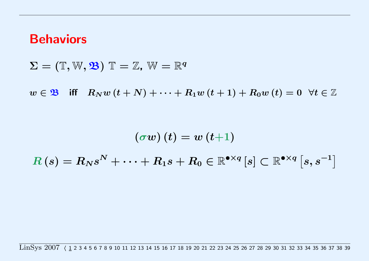## **Behaviors**

 $\Sigma = (\mathbb{T}, \mathbb{W}, \mathfrak{B}) \mathbb{T} = \mathbb{Z}, \mathbb{W} = \mathbb{R}^q$ 

 $w \in \mathfrak{B}$  iff  $R_N w(t+N) + \cdots + R_1 w(t+1) + R_0 w(t) = 0 \ \forall t \in \mathbb{Z}$ 

 $(\sigma w)(t) = w(t+1)$  $R\left(s\right)=R_{N}s^{N}+\cdots+R_{1}s+R_{0}\in\mathbb{R}^{\bullet\times q}\left[s\right]\subset\mathbb{R}^{\bullet\times q}\left[s,s^{-1}\right]$ 

 $\text{LinSys } 2007 \left( \frac{1}{2} \right. 2 \right. 3 \left. 4 \right. 5 \left. 6 \right. 7 \left. 8 \right. 9 \left. 10 \right. 11 \left. 12 \right. 13 \left. 14 \right. 15 \left. 16 \right. 17 \left. 18 \right. 19 \left. 20 \right. 21 \left. 22 \right. 23 \left. 24 \right. 25 \left. 26 \right. 27 \left. 28 \right. 29 \left. 30 \right. 31 \left. 32 \right. 33 \left. 34 \right. 35 \left.$  $\text{LinSys } 2007 \left( \frac{1}{2} \right. 2 \right. 3 \left. 4 \right. 5 \left. 6 \right. 7 \left. 8 \right. 9 \left. 10 \right. 11 \left. 12 \right. 13 \left. 14 \right. 15 \left. 16 \right. 17 \left. 18 \right. 19 \left. 20 \right. 21 \left. 22 \right. 23 \left. 24 \right. 25 \left. 26 \right. 27 \left. 28 \right. 29 \left. 30 \right. 31 \left. 32 \right. 33 \left. 34 \right. 35 \left.$  $\text{LinSys } 2007 \left( \frac{1}{2} \right. 2 \right. 3 \left. 4 \right. 5 \left. 6 \right. 7 \left. 8 \right. 9 \left. 10 \right. 11 \left. 12 \right. 13 \left. 14 \right. 15 \left. 16 \right. 17 \left. 18 \right. 19 \left. 20 \right. 21 \left. 22 \right. 23 \left. 24 \right. 25 \left. 26 \right. 27 \left. 28 \right. 29 \left. 30 \right. 31 \left. 32 \right. 33 \left. 34 \right. 35 \left.$  $\text{LinSys } 2007 \left( \frac{1}{2} \right. 2 \right. 3 \left. 4 \right. 5 \left. 6 \right. 7 \left. 8 \right. 9 \left. 10 \right. 11 \left. 12 \right. 13 \left. 14 \right. 15 \left. 16 \right. 17 \left. 18 \right. 19 \left. 20 \right. 21 \left. 22 \right. 23 \left. 24 \right. 25 \left. 26 \right. 27 \left. 28 \right. 29 \left. 30 \right. 31 \left. 32 \right. 33 \left. 34 \right. 35 \left.$  $\text{LinSys } 2007 \left( \frac{1}{2} \right. 2 \right. 3 \left. 4 \right. 5 \left. 6 \right. 7 \left. 8 \right. 9 \left. 10 \right. 11 \left. 12 \right. 13 \left. 14 \right. 15 \left. 16 \right. 17 \left. 18 \right. 19 \left. 20 \right. 21 \left. 22 \right. 23 \left. 24 \right. 25 \left. 26 \right. 27 \left. 28 \right. 29 \left. 30 \right. 31 \left. 32 \right. 33 \left. 34 \right. 35 \left.$  $\text{LinSys } 2007 \left( \frac{1}{2} \right. 2 \right. 3 \left. 4 \right. 5 \left. 6 \right. 7 \left. 8 \right. 9 \left. 10 \right. 11 \left. 12 \right. 13 \left. 14 \right. 15 \left. 16 \right. 17 \left. 18 \right. 19 \left. 20 \right. 21 \left. 22 \right. 23 \left. 24 \right. 25 \left. 26 \right. 27 \left. 28 \right. 29 \left. 30 \right. 31 \left. 32 \right. 33 \left. 34 \right. 35 \left.$  $\text{LinSys } 2007 \left( \frac{1}{2} \right. 2 \right. 3 \left. 4 \right. 5 \left. 6 \right. 7 \left. 8 \right. 9 \left. 10 \right. 11 \left. 12 \right. 13 \left. 14 \right. 15 \left. 16 \right. 17 \left. 18 \right. 19 \left. 20 \right. 21 \left. 22 \right. 23 \left. 24 \right. 25 \left. 26 \right. 27 \left. 28 \right. 29 \left. 30 \right. 31 \left. 32 \right. 33 \left. 34 \right. 35 \left.$  $\text{LinSys } 2007 \left( \frac{1}{2} \right. 2 \right. 3 \left. 4 \right. 5 \left. 6 \right. 7 \left. 8 \right. 9 \left. 10 \right. 11 \left. 12 \right. 13 \left. 14 \right. 15 \left. 16 \right. 17 \left. 18 \right. 19 \left. 20 \right. 21 \left. 22 \right. 23 \left. 24 \right. 25 \left. 26 \right. 27 \left. 28 \right. 29 \left. 30 \right. 31 \left. 32 \right. 33 \left. 34 \right. 35 \left.$  $\text{LinSys } 2007 \left( \frac{1}{2} \right. 2 \right. 3 \left. 4 \right. 5 \left. 6 \right. 7 \left. 8 \right. 9 \left. 10 \right. 11 \left. 12 \right. 13 \left. 14 \right. 15 \left. 16 \right. 17 \left. 18 \right. 19 \left. 20 \right. 21 \left. 22 \right. 23 \left. 24 \right. 25 \left. 26 \right. 27 \left. 28 \right. 29 \left. 30 \right. 31 \left. 32 \right. 33 \left. 34 \right. 35 \left.$  $\text{LinSys } 2007 \left( \frac{1}{2} \right. 2 \right. 3 \left. 4 \right. 5 \left. 6 \right. 7 \left. 8 \right. 9 \left. 10 \right. 11 \left. 12 \right. 13 \left. 14 \right. 15 \left. 16 \right. 17 \left. 18 \right. 19 \left. 20 \right. 21 \left. 22 \right. 23 \left. 24 \right. 25 \left. 26 \right. 27 \left. 28 \right. 29 \left. 30 \right. 31 \left. 32 \right. 33 \left. 34 \right. 35 \left.$  $\text{LinSys } 2007 \left( \frac{1}{2} \right. 2 \right. 3 \left. 4 \right. 5 \left. 6 \right. 7 \left. 8 \right. 9 \left. 10 \right. 11 \left. 12 \right. 13 \left. 14 \right. 15 \left. 16 \right. 17 \left. 18 \right. 19 \left. 20 \right. 21 \left. 22 \right. 23 \left. 24 \right. 25 \left. 26 \right. 27 \left. 28 \right. 29 \left. 30 \right. 31 \left. 32 \right. 33 \left. 34 \right. 35 \left.$  $\text{LinSys } 2007 \left( \frac{1}{2} \right. 2 \right. 3 \left. 4 \right. 5 \left. 6 \right. 7 \left. 8 \right. 9 \left. 10 \right. 11 \left. 12 \right. 13 \left. 14 \right. 15 \left. 16 \right. 17 \left. 18 \right. 19 \left. 20 \right. 21 \left. 22 \right. 23 \left. 24 \right. 25 \left. 26 \right. 27 \left. 28 \right. 29 \left. 30 \right. 31 \left. 32 \right. 33 \left. 34 \right. 35 \left.$  $\text{LinSys } 2007 \left( \frac{1}{2} \right. 2 \right. 3 \left. 4 \right. 5 \left. 6 \right. 7 \left. 8 \right. 9 \left. 10 \right. 11 \left. 12 \right. 13 \left. 14 \right. 15 \left. 16 \right. 17 \left. 18 \right. 19 \left. 20 \right. 21 \left. 22 \right. 23 \left. 24 \right. 25 \left. 26 \right. 27 \left. 28 \right. 29 \left. 30 \right. 31 \left. 32 \right. 33 \left. 34 \right. 35 \left.$  $\text{LinSys } 2007 \left( \frac{1}{2} \right. 2 \right. 3 \left. 4 \right. 5 \left. 6 \right. 7 \left. 8 \right. 9 \left. 10 \right. 11 \left. 12 \right. 13 \left. 14 \right. 15 \left. 16 \right. 17 \left. 18 \right. 19 \left. 20 \right. 21 \left. 22 \right. 23 \left. 24 \right. 25 \left. 26 \right. 27 \left. 28 \right. 29 \left. 30 \right. 31 \left. 32 \right. 33 \left. 34 \right. 35 \left.$  $\text{LinSys } 2007 \left( \frac{1}{2} \right. 2 \right. 3 \left. 4 \right. 5 \left. 6 \right. 7 \left. 8 \right. 9 \left. 10 \right. 11 \left. 12 \right. 13 \left. 14 \right. 15 \left. 16 \right. 17 \left. 18 \right. 19 \left. 20 \right. 21 \left. 22 \right. 23 \left. 24 \right. 25 \left. 26 \right. 27 \left. 28 \right. 29 \left. 30 \right. 31 \left. 32 \right. 33 \left. 34 \right. 35 \left.$  $\text{LinSys } 2007 \left( \frac{1}{2} \right. 2 \right. 3 \left. 4 \right. 5 \left. 6 \right. 7 \left. 8 \right. 9 \left. 10 \right. 11 \left. 12 \right. 13 \left. 14 \right. 15 \left. 16 \right. 17 \left. 18 \right. 19 \left. 20 \right. 21 \left. 22 \right. 23 \left. 24 \right. 25 \left. 26 \right. 27 \left. 28 \right. 29 \left. 30 \right. 31 \left. 32 \right. 33 \left. 34 \right. 35 \left.$  $\text{LinSys } 2007 \left( \frac{1}{2} \right. 2 \right. 3 \left. 4 \right. 5 \left. 6 \right. 7 \left. 8 \right. 9 \left. 10 \right. 11 \left. 12 \right. 13 \left. 14 \right. 15 \left. 16 \right. 17 \left. 18 \right. 19 \left. 20 \right. 21 \left. 22 \right. 23 \left. 24 \right. 25 \left. 26 \right. 27 \left. 28 \right. 29 \left. 30 \right. 31 \left. 32 \right. 33 \left. 34 \right. 35 \left.$  $\text{LinSys } 2007 \left( \frac{1}{2} \right. 2 \right. 3 \left. 4 \right. 5 \left. 6 \right. 7 \left. 8 \right. 9 \left. 10 \right. 11 \left. 12 \right. 13 \left. 14 \right. 15 \left. 16 \right. 17 \left. 18 \right. 19 \left. 20 \right. 21 \left. 22 \right. 23 \left. 24 \right. 25 \left. 26 \right. 27 \left. 28 \right. 29 \left. 30 \right. 31 \left. 32 \right. 33 \left. 34 \right. 35 \left.$  $\text{LinSys } 2007 \left( \frac{1}{2} \right. 2 \right. 3 \left. 4 \right. 5 \left. 6 \right. 7 \left. 8 \right. 9 \left. 10 \right. 11 \left. 12 \right. 13 \left. 14 \right. 15 \left. 16 \right. 17 \left. 18 \right. 19 \left. 20 \right. 21 \left. 22 \right. 23 \left. 24 \right. 25 \left. 26 \right. 27 \left. 28 \right. 29 \left. 30 \right. 31 \left. 32 \right. 33 \left. 34 \right. 35 \left.$  $\text{LinSys } 2007 \left( \frac{1}{2} \right. 2 \right. 3 \left. 4 \right. 5 \left. 6 \right. 7 \left. 8 \right. 9 \left. 10 \right. 11 \left. 12 \right. 13 \left. 14 \right. 15 \left. 16 \right. 17 \left. 18 \right. 19 \left. 20 \right. 21 \left. 22 \right. 23 \left. 24 \right. 25 \left. 26 \right. 27 \left. 28 \right. 29 \left. 30 \right. 31 \left. 32 \right. 33 \left. 34 \right. 35 \left.$  $\text{LinSys } 2007 \left( \frac{1}{2} \right. 2 \right. 3 \left. 4 \right. 5 \left. 6 \right. 7 \left. 8 \right. 9 \left. 10 \right. 11 \left. 12 \right. 13 \left. 14 \right. 15 \left. 16 \right. 17 \left. 18 \right. 19 \left. 20 \right. 21 \left. 22 \right. 23 \left. 24 \right. 25 \left. 26 \right. 27 \left. 28 \right. 29 \left. 30 \right. 31 \left. 32 \right. 33 \left. 34 \right. 35 \left.$  $\text{LinSys } 2007 \left( \frac{1}{2} \right. 2 \right. 3 \left. 4 \right. 5 \left. 6 \right. 7 \left. 8 \right. 9 \left. 10 \right. 11 \left. 12 \right. 13 \left. 14 \right. 15 \left. 16 \right. 17 \left. 18 \right. 19 \left. 20 \right. 21 \left. 22 \right. 23 \left. 24 \right. 25 \left. 26 \right. 27 \left. 28 \right. 29 \left. 30 \right. 31 \left. 32 \right. 33 \left. 34 \right. 35 \left.$  $\text{LinSys } 2007 \left( \frac{1}{2} \right. 2 \right. 3 \left. 4 \right. 5 \left. 6 \right. 7 \left. 8 \right. 9 \left. 10 \right. 11 \left. 12 \right. 13 \left. 14 \right. 15 \left. 16 \right. 17 \left. 18 \right. 19 \left. 20 \right. 21 \left. 22 \right. 23 \left. 24 \right. 25 \left. 26 \right. 27 \left. 28 \right. 29 \left. 30 \right. 31 \left. 32 \right. 33 \left. 34 \right. 35 \left.$  $\text{LinSys } 2007 \left( \frac{1}{2} \right. 2 \right. 3 \left. 4 \right. 5 \left. 6 \right. 7 \left. 8 \right. 9 \left. 10 \right. 11 \left. 12 \right. 13 \left. 14 \right. 15 \left. 16 \right. 17 \left. 18 \right. 19 \left. 20 \right. 21 \left. 22 \right. 23 \left. 24 \right. 25 \left. 26 \right. 27 \left. 28 \right. 29 \left. 30 \right. 31 \left. 32 \right. 33 \left. 34 \right. 35 \left.$  $\text{LinSys } 2007 \left( \frac{1}{2} \right. 2 \right. 3 \left. 4 \right. 5 \left. 6 \right. 7 \left. 8 \right. 9 \left. 10 \right. 11 \left. 12 \right. 13 \left. 14 \right. 15 \left. 16 \right. 17 \left. 18 \right. 19 \left. 20 \right. 21 \left. 22 \right. 23 \left. 24 \right. 25 \left. 26 \right. 27 \left. 28 \right. 29 \left. 30 \right. 31 \left. 32 \right. 33 \left. 34 \right. 35 \left.$  $\text{LinSys } 2007 \left( \frac{1}{2} \right. 2 \right. 3 \left. 4 \right. 5 \left. 6 \right. 7 \left. 8 \right. 9 \left. 10 \right. 11 \left. 12 \right. 13 \left. 14 \right. 15 \left. 16 \right. 17 \left. 18 \right. 19 \left. 20 \right. 21 \left. 22 \right. 23 \left. 24 \right. 25 \left. 26 \right. 27 \left. 28 \right. 29 \left. 30 \right. 31 \left. 32 \right. 33 \left. 34 \right. 35 \left.$  $\text{LinSys } 2007 \left( \frac{1}{2} \right. 2 \right. 3 \left. 4 \right. 5 \left. 6 \right. 7 \left. 8 \right. 9 \left. 10 \right. 11 \left. 12 \right. 13 \left. 14 \right. 15 \left. 16 \right. 17 \left. 18 \right. 19 \left. 20 \right. 21 \left. 22 \right. 23 \left. 24 \right. 25 \left. 26 \right. 27 \left. 28 \right. 29 \left. 30 \right. 31 \left. 32 \right. 33 \left. 34 \right. 35 \left.$  $\text{LinSys } 2007 \left( \frac{1}{2} \right. 2 \right. 3 \left. 4 \right. 5 \left. 6 \right. 7 \left. 8 \right. 9 \left. 10 \right. 11 \left. 12 \right. 13 \left. 14 \right. 15 \left. 16 \right. 17 \left. 18 \right. 19 \left. 20 \right. 21 \left. 22 \right. 23 \left. 24 \right. 25 \left. 26 \right. 27 \left. 28 \right. 29 \left. 30 \right. 31 \left. 32 \right. 33 \left. 34 \right. 35 \left.$  $\text{LinSys } 2007 \left( \frac{1}{2} \right. 2 \right. 3 \left. 4 \right. 5 \left. 6 \right. 7 \left. 8 \right. 9 \left. 10 \right. 11 \left. 12 \right. 13 \left. 14 \right. 15 \left. 16 \right. 17 \left. 18 \right. 19 \left. 20 \right. 21 \left. 22 \right. 23 \left. 24 \right. 25 \left. 26 \right. 27 \left. 28 \right. 29 \left. 30 \right. 31 \left. 32 \right. 33 \left. 34 \right. 35 \left.$  $\text{LinSys } 2007 \left( \frac{1}{2} \right. 2 \right. 3 \left. 4 \right. 5 \left. 6 \right. 7 \left. 8 \right. 9 \left. 10 \right. 11 \left. 12 \right. 13 \left. 14 \right. 15 \left. 16 \right. 17 \left. 18 \right. 19 \left. 20 \right. 21 \left. 22 \right. 23 \left. 24 \right. 25 \left. 26 \right. 27 \left. 28 \right. 29 \left. 30 \right. 31 \left. 32 \right. 33 \left. 34 \right. 35 \left.$  $\text{LinSys } 2007 \left( \frac{1}{2} \right. 2 \right. 3 \left. 4 \right. 5 \left. 6 \right. 7 \left. 8 \right. 9 \left. 10 \right. 11 \left. 12 \right. 13 \left. 14 \right. 15 \left. 16 \right. 17 \left. 18 \right. 19 \left. 20 \right. 21 \left. 22 \right. 23 \left. 24 \right. 25 \left. 26 \right. 27 \left. 28 \right. 29 \left. 30 \right. 31 \left. 32 \right. 33 \left. 34 \right. 35 \left.$  $\text{LinSys } 2007 \left( \frac{1}{2} \right. 2 \right. 3 \left. 4 \right. 5 \left. 6 \right. 7 \left. 8 \right. 9 \left. 10 \right. 11 \left. 12 \right. 13 \left. 14 \right. 15 \left. 16 \right. 17 \left. 18 \right. 19 \left. 20 \right. 21 \left. 22 \right. 23 \left. 24 \right. 25 \left. 26 \right. 27 \left. 28 \right. 29 \left. 30 \right. 31 \left. 32 \right. 33 \left. 34 \right. 35 \left.$  $\text{LinSys } 2007 \left( \frac{1}{2} \right. 2 \right. 3 \left. 4 \right. 5 \left. 6 \right. 7 \left. 8 \right. 9 \left. 10 \right. 11 \left. 12 \right. 13 \left. 14 \right. 15 \left. 16 \right. 17 \left. 18 \right. 19 \left. 20 \right. 21 \left. 22 \right. 23 \left. 24 \right. 25 \left. 26 \right. 27 \left. 28 \right. 29 \left. 30 \right. 31 \left. 32 \right. 33 \left. 34 \right. 35 \left.$  $\text{LinSys } 2007 \left( \frac{1}{2} \right. 2 \right. 3 \left. 4 \right. 5 \left. 6 \right. 7 \left. 8 \right. 9 \left. 10 \right. 11 \left. 12 \right. 13 \left. 14 \right. 15 \left. 16 \right. 17 \left. 18 \right. 19 \left. 20 \right. 21 \left. 22 \right. 23 \left. 24 \right. 25 \left. 26 \right. 27 \left. 28 \right. 29 \left. 30 \right. 31 \left. 32 \right. 33 \left. 34 \right. 35 \left.$  $\text{LinSys } 2007 \left( \frac{1}{2} \right. 2 \right. 3 \left. 4 \right. 5 \left. 6 \right. 7 \left. 8 \right. 9 \left. 10 \right. 11 \left. 12 \right. 13 \left. 14 \right. 15 \left. 16 \right. 17 \left. 18 \right. 19 \left. 20 \right. 21 \left. 22 \right. 23 \left. 24 \right. 25 \left. 26 \right. 27 \left. 28 \right. 29 \left. 30 \right. 31 \left. 32 \right. 33 \left. 34 \right. 35 \left.$  $\text{LinSys } 2007 \left( \frac{1}{2} \right. 2 \right. 3 \left. 4 \right. 5 \left. 6 \right. 7 \left. 8 \right. 9 \left. 10 \right. 11 \left. 12 \right. 13 \left. 14 \right. 15 \left. 16 \right. 17 \left. 18 \right. 19 \left. 20 \right. 21 \left. 22 \right. 23 \left. 24 \right. 25 \left. 26 \right. 27 \left. 28 \right. 29 \left. 30 \right. 31 \left. 32 \right. 33 \left. 34 \right. 35 \left.$  $\text{LinSys } 2007 \left( \frac{1}{2} \right. 2 \right. 3 \left. 4 \right. 5 \left. 6 \right. 7 \left. 8 \right. 9 \left. 10 \right. 11 \left. 12 \right. 13 \left. 14 \right. 15 \left. 16 \right. 17 \left. 18 \right. 19 \left. 20 \right. 21 \left. 22 \right. 23 \left. 24 \right. 25 \left. 26 \right. 27 \left. 28 \right. 29 \left. 30 \right. 31 \left. 32 \right. 33 \left. 34 \right. 35 \left.$  $\text{LinSys } 2007 \left( \frac{1}{2} \right. 2 \right. 3 \left. 4 \right. 5 \left. 6 \right. 7 \left. 8 \right. 9 \left. 10 \right. 11 \left. 12 \right. 13 \left. 14 \right. 15 \left. 16 \right. 17 \left. 18 \right. 19 \left. 20 \right. 21 \left. 22 \right. 23 \left. 24 \right. 25 \left. 26 \right. 27 \left. 28 \right. 29 \left. 30 \right. 31 \left. 32 \right. 33 \left. 34 \right. 35 \left.$  $\text{LinSys } 2007 \left( \frac{1}{2} \right. 2 \right. 3 \left. 4 \right. 5 \left. 6 \right. 7 \left. 8 \right. 9 \left. 10 \right. 11 \left. 12 \right. 13 \left. 14 \right. 15 \left. 16 \right. 17 \left. 18 \right. 19 \left. 20 \right. 21 \left. 22 \right. 23 \left. 24 \right. 25 \left. 26 \right. 27 \left. 28 \right. 29 \left. 30 \right. 31 \left. 32 \right. 33 \left. 34 \right. 35 \left.$  $\text{LinSys } 2007 \left( \frac{1}{2} \right. 2 \right. 3 \left. 4 \right. 5 \left. 6 \right. 7 \left. 8 \right. 9 \left. 10 \right. 11 \left. 12 \right. 13 \left. 14 \right. 15 \left. 16 \right. 17 \left. 18 \right. 19 \left. 20 \right. 21 \left. 22 \right. 23 \left. 24 \right. 25 \left. 26 \right. 27 \left. 28 \right. 29 \left. 30 \right. 31 \left. 32 \right. 33 \left. 34 \right. 35 \left.$  $\text{LinSys } 2007 \left( \frac{1}{2} \right. 2 \right. 3 \left. 4 \right. 5 \left. 6 \right. 7 \left. 8 \right. 9 \left. 10 \right. 11 \left. 12 \right. 13 \left. 14 \right. 15 \left. 16 \right. 17 \left. 18 \right. 19 \left. 20 \right. 21 \left. 22 \right. 23 \left. 24 \right. 25 \left. 26 \right. 27 \left. 28 \right. 29 \left. 30 \right. 31 \left. 32 \right. 33 \left. 34 \right. 35 \left.$  $\text{LinSys } 2007 \left( \frac{1}{2} \right. 2 \right. 3 \left. 4 \right. 5 \left. 6 \right. 7 \left. 8 \right. 9 \left. 10 \right. 11 \left. 12 \right. 13 \left. 14 \right. 15 \left. 16 \right. 17 \left. 18 \right. 19 \left. 20 \right. 21 \left. 22 \right. 23 \left. 24 \right. 25 \left. 26 \right. 27 \left. 28 \right. 29 \left. 30 \right. 31 \left. 32 \right. 33 \left. 34 \right. 35 \left.$  $\text{LinSys } 2007 \left( \frac{1}{2} \right. 2 \right. 3 \left. 4 \right. 5 \left. 6 \right. 7 \left. 8 \right. 9 \left. 10 \right. 11 \left. 12 \right. 13 \left. 14 \right. 15 \left. 16 \right. 17 \left. 18 \right. 19 \left. 20 \right. 21 \left. 22 \right. 23 \left. 24 \right. 25 \left. 26 \right. 27 \left. 28 \right. 29 \left. 30 \right. 31 \left. 32 \right. 33 \left. 34 \right. 35 \left.$  $\text{LinSys } 2007 \left( \frac{1}{2} \right. 2 \right. 3 \left. 4 \right. 5 \left. 6 \right. 7 \left. 8 \right. 9 \left. 10 \right. 11 \left. 12 \right. 13 \left. 14 \right. 15 \left. 16 \right. 17 \left. 18 \right. 19 \left. 20 \right. 21 \left. 22 \right. 23 \left. 24 \right. 25 \left. 26 \right. 27 \left. 28 \right. 29 \left. 30 \right. 31 \left. 32 \right. 33 \left. 34 \right. 35 \left.$  $\text{LinSys } 2007 \left( \frac{1}{2} \right. 2 \right. 3 \left. 4 \right. 5 \left. 6 \right. 7 \left. 8 \right. 9 \left. 10 \right. 11 \left. 12 \right. 13 \left. 14 \right. 15 \left. 16 \right. 17 \left. 18 \right. 19 \left. 20 \right. 21 \left. 22 \right. 23 \left. 24 \right. 25 \left. 26 \right. 27 \left. 28 \right. 29 \left. 30 \right. 31 \left. 32 \right. 33 \left. 34 \right. 35 \left.$  $\text{LinSys } 2007 \left( \frac{1}{2} \right. 2 \right. 3 \left. 4 \right. 5 \left. 6 \right. 7 \left. 8 \right. 9 \left. 10 \right. 11 \left. 12 \right. 13 \left. 14 \right. 15 \left. 16 \right. 17 \left. 18 \right. 19 \left. 20 \right. 21 \left. 22 \right. 23 \left. 24 \right. 25 \left. 26 \right. 27 \left. 28 \right. 29 \left. 30 \right. 31 \left. 32 \right. 33 \left. 34 \right. 35 \left.$  $\text{LinSys } 2007 \left( \frac{1}{2} \right. 2 \right. 3 \left. 4 \right. 5 \left. 6 \right. 7 \left. 8 \right. 9 \left. 10 \right. 11 \left. 12 \right. 13 \left. 14 \right. 15 \left. 16 \right. 17 \left. 18 \right. 19 \left. 20 \right. 21 \left. 22 \right. 23 \left. 24 \right. 25 \left. 26 \right. 27 \left. 28 \right. 29 \left. 30 \right. 31 \left. 32 \right. 33 \left. 34 \right. 35 \left.$  $\text{LinSys } 2007 \left( \frac{1}{2} \right. 2 \right. 3 \left. 4 \right. 5 \left. 6 \right. 7 \left. 8 \right. 9 \left. 10 \right. 11 \left. 12 \right. 13 \left. 14 \right. 15 \left. 16 \right. 17 \left. 18 \right. 19 \left. 20 \right. 21 \left. 22 \right. 23 \left. 24 \right. 25 \left. 26 \right. 27 \left. 28 \right. 29 \left. 30 \right. 31 \left. 32 \right. 33 \left. 34 \right. 35 \left.$  $\text{LinSys } 2007 \left( \frac{1}{2} \right. 2 \right. 3 \left. 4 \right. 5 \left. 6 \right. 7 \left. 8 \right. 9 \left. 10 \right. 11 \left. 12 \right. 13 \left. 14 \right. 15 \left. 16 \right. 17 \left. 18 \right. 19 \left. 20 \right. 21 \left. 22 \right. 23 \left. 24 \right. 25 \left. 26 \right. 27 \left. 28 \right. 29 \left. 30 \right. 31 \left. 32 \right. 33 \left. 34 \right. 35 \left.$  $\text{LinSys } 2007 \left( \frac{1}{2} \right. 2 \right. 3 \left. 4 \right. 5 \left. 6 \right. 7 \left. 8 \right. 9 \left. 10 \right. 11 \left. 12 \right. 13 \left. 14 \right. 15 \left. 16 \right. 17 \left. 18 \right. 19 \left. 20 \right. 21 \left. 22 \right. 23 \left. 24 \right. 25 \left. 26 \right. 27 \left. 28 \right. 29 \left. 30 \right. 31 \left. 32 \right. 33 \left. 34 \right. 35 \left.$  $\text{LinSys } 2007 \left( \frac{1}{2} \right. 2 \right. 3 \left. 4 \right. 5 \left. 6 \right. 7 \left. 8 \right. 9 \left. 10 \right. 11 \left. 12 \right. 13 \left. 14 \right. 15 \left. 16 \right. 17 \left. 18 \right. 19 \left. 20 \right. 21 \left. 22 \right. 23 \left. 24 \right. 25 \left. 26 \right. 27 \left. 28 \right. 29 \left. 30 \right. 31 \left. 32 \right. 33 \left. 34 \right. 35 \left.$  $\text{LinSys } 2007 \left( \frac{1}{2} \right. 2 \right. 3 \left. 4 \right. 5 \left. 6 \right. 7 \left. 8 \right. 9 \left. 10 \right. 11 \left. 12 \right. 13 \left. 14 \right. 15 \left. 16 \right. 17 \left. 18 \right. 19 \left. 20 \right. 21 \left. 22 \right. 23 \left. 24 \right. 25 \left. 26 \right. 27 \left. 28 \right. 29 \left. 30 \right. 31 \left. 32 \right. 33 \left. 34 \right. 35 \left.$  $\text{LinSys } 2007 \left( \frac{1}{2} \right. 2 \right. 3 \left. 4 \right. 5 \left. 6 \right. 7 \left. 8 \right. 9 \left. 10 \right. 11 \left. 12 \right. 13 \left. 14 \right. 15 \left. 16 \right. 17 \left. 18 \right. 19 \left. 20 \right. 21 \left. 22 \right. 23 \left. 24 \right. 25 \left. 26 \right. 27 \left. 28 \right. 29 \left. 30 \right. 31 \left. 32 \right. 33 \left. 34 \right. 35 \left.$  $\text{LinSys } 2007 \left( \frac{1}{2} \right. 2 \right. 3 \left. 4 \right. 5 \left. 6 \right. 7 \left. 8 \right. 9 \left. 10 \right. 11 \left. 12 \right. 13 \left. 14 \right. 15 \left. 16 \right. 17 \left. 18 \right. 19 \left. 20 \right. 21 \left. 22 \right. 23 \left. 24 \right. 25 \left. 26 \right. 27 \left. 28 \right. 29 \left. 30 \right. 31 \left. 32 \right. 33 \left. 34 \right. 35 \left.$  $\text{LinSys } 2007 \left( \frac{1}{2} \right. 2 \right. 3 \left. 4 \right. 5 \left. 6 \right. 7 \left. 8 \right. 9 \left. 10 \right. 11 \left. 12 \right. 13 \left. 14 \right. 15 \left. 16 \right. 17 \left. 18 \right. 19 \left. 20 \right. 21 \left. 22 \right. 23 \left. 24 \right. 25 \left. 26 \right. 27 \left. 28 \right. 29 \left. 30 \right. 31 \left. 32 \right. 33 \left. 34 \right. 35 \left.$  $\text{LinSys } 2007 \left( \frac{1}{2} \right. 2 \right. 3 \left. 4 \right. 5 \left. 6 \right. 7 \left. 8 \right. 9 \left. 10 \right. 11 \left. 12 \right. 13 \left. 14 \right. 15 \left. 16 \right. 17 \left. 18 \right. 19 \left. 20 \right. 21 \left. 22 \right. 23 \left. 24 \right. 25 \left. 26 \right. 27 \left. 28 \right. 29 \left. 30 \right. 31 \left. 32 \right. 33 \left. 34 \right. 35 \left.$  $\text{LinSys } 2007 \left( \frac{1}{2} \right. 2 \right. 3 \left. 4 \right. 5 \left. 6 \right. 7 \left. 8 \right. 9 \left. 10 \right. 11 \left. 12 \right. 13 \left. 14 \right. 15 \left. 16 \right. 17 \left. 18 \right. 19 \left. 20 \right. 21 \left. 22 \right. 23 \left. 24 \right. 25 \left. 26 \right. 27 \left. 28 \right. 29 \left. 30 \right. 31 \left. 32 \right. 33 \left. 34 \right. 35 \left.$  $\text{LinSys } 2007 \left( \frac{1}{2} \right. 2 \right. 3 \left. 4 \right. 5 \left. 6 \right. 7 \left. 8 \right. 9 \left. 10 \right. 11 \left. 12 \right. 13 \left. 14 \right. 15 \left. 16 \right. 17 \left. 18 \right. 19 \left. 20 \right. 21 \left. 22 \right. 23 \left. 24 \right. 25 \left. 26 \right. 27 \left. 28 \right. 29 \left. 30 \right. 31 \left. 32 \right. 33 \left. 34 \right. 35 \left.$  $\text{LinSys } 2007 \left( \frac{1}{2} \right. 2 \right. 3 \left. 4 \right. 5 \left. 6 \right. 7 \left. 8 \right. 9 \left. 10 \right. 11 \left. 12 \right. 13 \left. 14 \right. 15 \left. 16 \right. 17 \left. 18 \right. 19 \left. 20 \right. 21 \left. 22 \right. 23 \left. 24 \right. 25 \left. 26 \right. 27 \left. 28 \right. 29 \left. 30 \right. 31 \left. 32 \right. 33 \left. 34 \right. 35 \left.$  $\text{LinSys } 2007 \left( \frac{1}{2} \right. 2 \right. 3 \left. 4 \right. 5 \left. 6 \right. 7 \left. 8 \right. 9 \left. 10 \right. 11 \left. 12 \right. 13 \left. 14 \right. 15 \left. 16 \right. 17 \left. 18 \right. 19 \left. 20 \right. 21 \left. 22 \right. 23 \left. 24 \right. 25 \left. 26 \right. 27 \left. 28 \right. 29 \left. 30 \right. 31 \left. 32 \right. 33 \left. 34 \right. 35 \left.$  $\text{LinSys } 2007 \left( \frac{1}{2} \right. 2 \right. 3 \left. 4 \right. 5 \left. 6 \right. 7 \left. 8 \right. 9 \left. 10 \right. 11 \left. 12 \right. 13 \left. 14 \right. 15 \left. 16 \right. 17 \left. 18 \right. 19 \left. 20 \right. 21 \left. 22 \right. 23 \left. 24 \right. 25 \left. 26 \right. 27 \left. 28 \right. 29 \left. 30 \right. 31 \left. 32 \right. 33 \left. 34 \right. 35 \left.$  $\text{LinSys } 2007 \left( \frac{1}{2} \right. 2 \right. 3 \left. 4 \right. 5 \left. 6 \right. 7 \left. 8 \right. 9 \left. 10 \right. 11 \left. 12 \right. 13 \left. 14 \right. 15 \left. 16 \right. 17 \left. 18 \right. 19 \left. 20 \right. 21 \left. 22 \right. 23 \left. 24 \right. 25 \left. 26 \right. 27 \left. 28 \right. 29 \left. 30 \right. 31 \left. 32 \right. 33 \left. 34 \right. 35 \left.$  $\text{LinSys } 2007 \left( \frac{1}{2} \right. 2 \right. 3 \left. 4 \right. 5 \left. 6 \right. 7 \left. 8 \right. 9 \left. 10 \right. 11 \left. 12 \right. 13 \left. 14 \right. 15 \left. 16 \right. 17 \left. 18 \right. 19 \left. 20 \right. 21 \left. 22 \right. 23 \left. 24 \right. 25 \left. 26 \right. 27 \left. 28 \right. 29 \left. 30 \right. 31 \left. 32 \right. 33 \left. 34 \right. 35 \left.$  $\text{LinSys } 2007 \left( \frac{1}{2} \right. 2 \right. 3 \left. 4 \right. 5 \left. 6 \right. 7 \left. 8 \right. 9 \left. 10 \right. 11 \left. 12 \right. 13 \left. 14 \right. 15 \left. 16 \right. 17 \left. 18 \right. 19 \left. 20 \right. 21 \left. 22 \right. 23 \left. 24 \right. 25 \left. 26 \right. 27 \left. 28 \right. 29 \left. 30 \right. 31 \left. 32 \right. 33 \left. 34 \right. 35 \left.$  $\text{LinSys } 2007 \left( \frac{1}{2} \right. 2 \right. 3 \left. 4 \right. 5 \left. 6 \right. 7 \left. 8 \right. 9 \left. 10 \right. 11 \left. 12 \right. 13 \left. 14 \right. 15 \left. 16 \right. 17 \left. 18 \right. 19 \left. 20 \right. 21 \left. 22 \right. 23 \left. 24 \right. 25 \left. 26 \right. 27 \left. 28 \right. 29 \left. 30 \right. 31 \left. 32 \right. 33 \left. 34 \right. 35 \left.$  $\text{LinSys } 2007 \left( \frac{1}{2} \right. 2 \right. 3 \left. 4 \right. 5 \left. 6 \right. 7 \left. 8 \right. 9 \left. 10 \right. 11 \left. 12 \right. 13 \left. 14 \right. 15 \left. 16 \right. 17 \left. 18 \right. 19 \left. 20 \right. 21 \left. 22 \right. 23 \left. 24 \right. 25 \left. 26 \right. 27 \left. 28 \right. 29 \left. 30 \right. 31 \left. 32 \right. 33 \left. 34 \right. 35 \left.$  $\text{LinSys } 2007 \left( \frac{1}{2} \right. 2 \right. 3 \left. 4 \right. 5 \left. 6 \right. 7 \left. 8 \right. 9 \left. 10 \right. 11 \left. 12 \right. 13 \left. 14 \right. 15 \left. 16 \right. 17 \left. 18 \right. 19 \left. 20 \right. 21 \left. 22 \right. 23 \left. 24 \right. 25 \left. 26 \right. 27 \left. 28 \right. 29 \left. 30 \right. 31 \left. 32 \right. 33 \left. 34 \right. 35 \left.$  $\text{LinSys } 2007 \left( \frac{1}{2} \right. 2 \right. 3 \left. 4 \right. 5 \left. 6 \right. 7 \left. 8 \right. 9 \left. 10 \right. 11 \left. 12 \right. 13 \left. 14 \right. 15 \left. 16 \right. 17 \left. 18 \right. 19 \left. 20 \right. 21 \left. 22 \right. 23 \left. 24 \right. 25 \left. 26 \right. 27 \left. 28 \right. 29 \left. 30 \right. 31 \left. 32 \right. 33 \left. 34 \right. 35 \left.$  $\text{LinSys } 2007 \left( \frac{1}{2} \right. 2 \right. 3 \left. 4 \right. 5 \left. 6 \right. 7 \left. 8 \right. 9 \left. 10 \right. 11 \left. 12 \right. 13 \left. 14 \right. 15 \left. 16 \right. 17 \left. 18 \right. 19 \left. 20 \right. 21 \left. 22 \right. 23 \left. 24 \right. 25 \left. 26 \right. 27 \left. 28 \right. 29 \left. 30 \right. 31 \left. 32 \right. 33 \left. 34 \right. 35 \left.$  $\text{LinSys } 2007 \left( \frac{1}{2} \right. 2 \right. 3 \left. 4 \right. 5 \left. 6 \right. 7 \left. 8 \right. 9 \left. 10 \right. 11 \left. 12 \right. 13 \left. 14 \right. 15 \left. 16 \right. 17 \left. 18 \right. 19 \left. 20 \right. 21 \left. 22 \right. 23 \left. 24 \right. 25 \left. 26 \right. 27 \left. 28 \right. 29 \left. 30 \right. 31 \left. 32 \right. 33 \left. 34 \right. 35 \left.$  $\text{LinSys } 2007 \left( \frac{1}{2} \right. 2 \right. 3 \left. 4 \right. 5 \left. 6 \right. 7 \left. 8 \right. 9 \left. 10 \right. 11 \left. 12 \right. 13 \left. 14 \right. 15 \left. 16 \right. 17 \left. 18 \right. 19 \left. 20 \right. 21 \left. 22 \right. 23 \left. 24 \right. 25 \left. 26 \right. 27 \left. 28 \right. 29 \left. 30 \right. 31 \left. 32 \right. 33 \left. 34 \right. 35 \left.$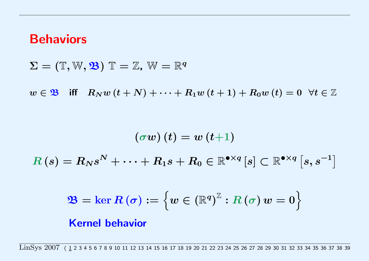## <span id="page-3-0"></span>Behaviors

 $\Sigma = (\mathbb{T}, \mathbb{W}, \mathfrak{B}) \mathbb{T} = \mathbb{Z}, \mathbb{W} = \mathbb{R}^q$ 

 $w \in \mathfrak{B}$  iff  $R_N w(t+N) + \cdots + R_1 w(t+1) + R_0 w(t) = 0 \ \forall t \in \mathbb{Z}$ 

$$
\left(\sigma w\right)(t)=w\left(t\hspace{-0.5mm}+\hspace{-0.5mm}1\right)
$$
\n
$$
R\left(s\right)=R_{N}s^{N}+\cdots+R_{1}s+R_{0}\in\mathbb{R}^{\bullet\times q}\left[s\right]\subset\mathbb{R}^{\bullet\times q}\left[s,s^{-1}\right]
$$

$$
\mathbf{\mathfrak{B}}=\ker R\left(\sigma\right):=\left\{ w\in\left(\mathbb{R}^{q}\right)^{\mathbb{Z}}:R\left(\sigma\right) w=0\right\}
$$

#### Kernel behavior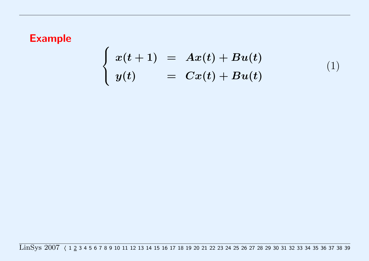$$
\begin{cases}\nx(t+1) = Ax(t) + Bu(t) \\
y(t) = Cx(t) + Bu(t)\n\end{cases} (1)
$$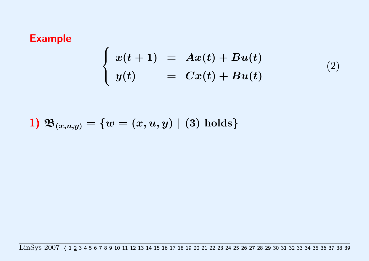$$
\begin{cases}\nx(t+1) = Ax(t) + Bu(t) \\
y(t) = Cx(t) + Bu(t)\n\end{cases} (2)
$$

1) 
$$
\mathfrak{B}_{(x,u,y)} = \{w = (x,u,y) \mid (3)
$$
 holds}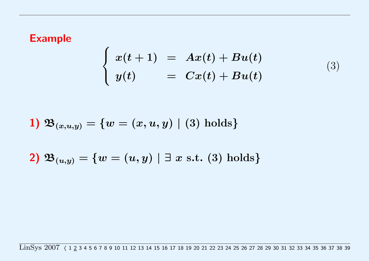<span id="page-6-0"></span>
$$
\begin{cases}\nx(t+1) = Ax(t) + Bu(t) \\
y(t) = Cx(t) + Bu(t)\n\end{cases} (3)
$$

1) 
$$
\mathfrak{B}_{(x,u,y)} = \{w = (x,u,y) \mid (3)
$$
 holds}

$$
\textbf{2) } \, \mathfrak{B}_{(u,y)} = \{w = (u,y) \,\, | \, \, \exists \, \, x \, \, \text{s.t.} \,\, (3) \, \, \text{holds} \}
$$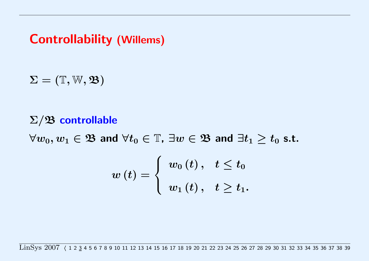<span id="page-7-0"></span>Controllability (Willems)

 $\Sigma = (\mathbb{T}, \mathbb{W}, \mathfrak{B})$ 

### $\Sigma/\mathfrak{B}$  controllable

 $\forall w_0, w_1 \in \mathfrak{B}$  and  $\forall t_0 \in \mathbb{T}$ ,  $\exists w \in \mathfrak{B}$  and  $\exists t_1 \geq t_0$  s.t.

$$
w\left(t\right)=\left\{\begin{array}{ll}w_{0}\left(t\right), & t\leq t_{0}\\ \\ w_{1}\left(t\right), & t\geq t_{1}.\end{array}\right.
$$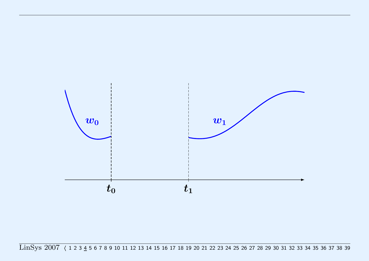<span id="page-8-0"></span>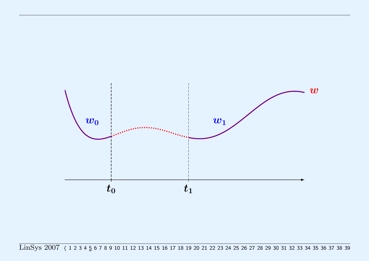<span id="page-9-0"></span>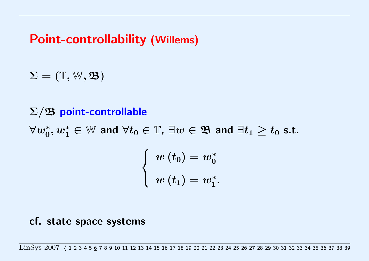## <span id="page-10-0"></span>Point-controllability (Willems)

 $\Sigma = (\mathbb{T}, \mathbb{W}, \mathfrak{B})$ 

### $\Sigma/\mathfrak{B}$  point-controllable

 $\forall w_0^*, w_1^* \in \mathbb{W}$  and  $\forall t_0 \in \mathbb{T}$ ,  $\exists w \in \mathfrak{B}$  and  $\exists t_1 \geq t_0$  s.t.

$$
\left\{ \begin{array}{l} w\left( {t_0 } \right) = w_0^* \\ \\ w\left( {t_1 } \right) = w_1^* . \end{array} \right.
$$

#### cf. state space systems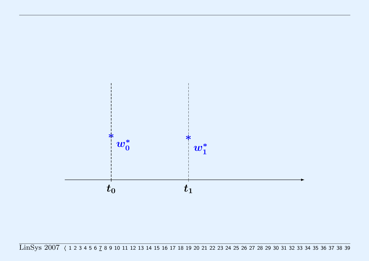<span id="page-11-0"></span>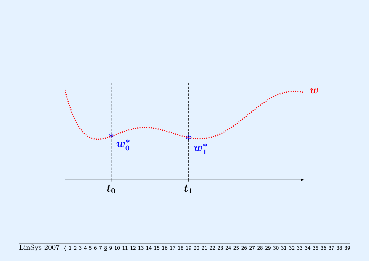<span id="page-12-0"></span>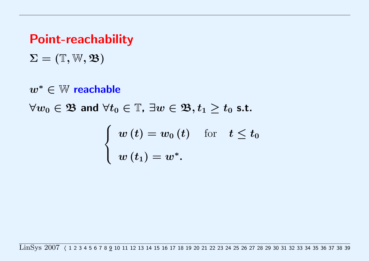## Point-reachability

 $\Sigma = (\mathbb{T}, \mathbb{W}, \mathfrak{B})$ 

w<sup>∗</sup> ∈ W reachable

 $\forall w_0 \in \mathfrak{B}$  and  $\forall t_0 \in \mathbb{T}$ ,  $\exists w \in \mathfrak{B}, t_1 \geq t_0$  s.t.

$$
\left\{\begin{array}{ll} w\left(t\right)=w_{0}\left(t\right) & \text{for} \quad t\leq t_{0} \\ w\left(t_{1}\right)=w^{*}.\end{array}\right.
$$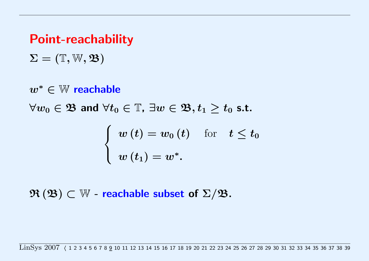## Point-reachability

 $\Sigma = (\mathbb{T}, \mathbb{W}, \mathfrak{B})$ 

w<sup>∗</sup> ∈ W reachable

 $\forall w_0 \in \mathfrak{B}$  and  $\forall t_0 \in \mathbb{T}$ ,  $\exists w \in \mathfrak{B}, t_1 \geq t_0$  s.t.

$$
\left\{\begin{array}{ll} w\left(t\right)=w_{0}\left(t\right) & \text{for} \quad t\leq t_{0} \\ w\left(t_{1}\right)=w^{*}.\end{array}\right.
$$

 $\mathfrak{R}\left(\mathfrak{B}\right)\subset\mathbb{W}$  - reachable subset of  $\Sigma/\mathfrak{B}$ .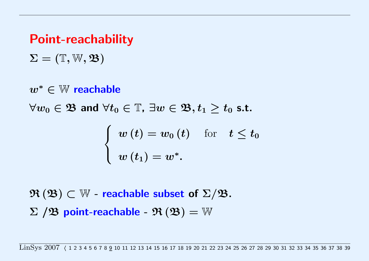## <span id="page-15-0"></span>Point-reachability

 $\Sigma = (\mathbb{T}, \mathbb{W}, \mathfrak{B})$ 

w<sup>∗</sup> ∈ W reachable

 $\forall w_0 \in \mathfrak{B}$  and  $\forall t_0 \in \mathbb{T}$ ,  $\exists w \in \mathfrak{B}, t_1 \geq t_0$  s.t.

$$
\left\{\begin{array}{ll} w\left(t\right)=w_{0}\left(t\right) & \text{for} \quad t\leq t_{0} \\ w\left(t_{1}\right)=w^{*}.\end{array}\right.
$$

 $\mathfrak{R}\left(\mathfrak{B}\right)\subset\mathbb{W}$  - reachable subset of  $\Sigma/\mathfrak{B}$ .  $\Sigma$  / $\mathfrak{B}$  point-reachable -  $\mathfrak{R}(\mathfrak{B})=\mathbb{W}$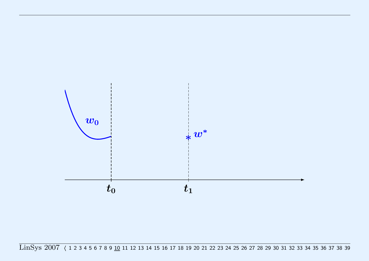<span id="page-16-0"></span>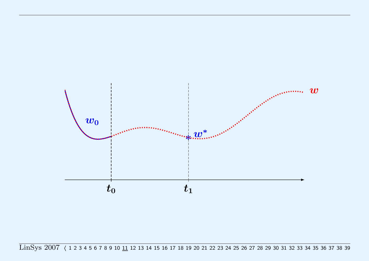<span id="page-17-0"></span>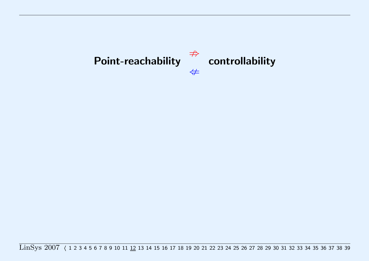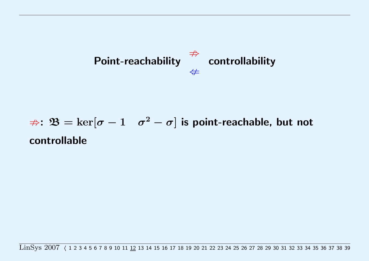

# $\Rightarrow$ :  $\mathfrak{B}=\ker[\sigma-1 \quad \sigma^2-\sigma]$  is point-reachable, but not controllable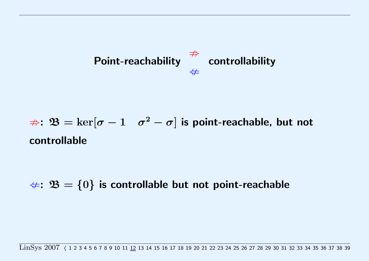<span id="page-20-0"></span>

$$
\Rightarrow: \mathfrak{B} = \ker[\sigma - 1 \quad \sigma^2 - \sigma] \text{ is point-reachable, but not}
$$
controlled

 $\#: \mathfrak{B} = \{0\}$  is controllable but not point-reachable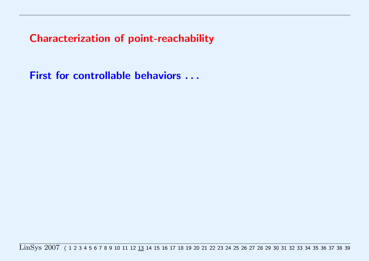First for controllable behaviors . . .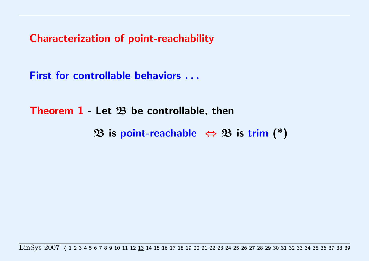First for controllable behaviors . . .

Theorem  $1$  - Let  $\mathfrak B$  be controllable, then

B is point-reachable  $\Leftrightarrow$  B is trim (\*)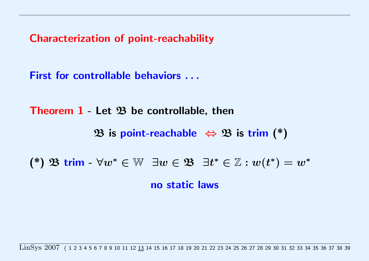<span id="page-24-0"></span>First for controllable behaviors . . .

Theorem  $1$  - Let  $\mathfrak B$  be controllable, then

B is point-reachable  $\Leftrightarrow$  B is trim (\*)

(\*)  $\mathfrak{B}$  trim -  $\forall w^* \in \mathbb{W}$   $\exists w \in \mathfrak{B}$   $\exists t^* \in \mathbb{Z} : w(t^*) = w^*$ 

no static laws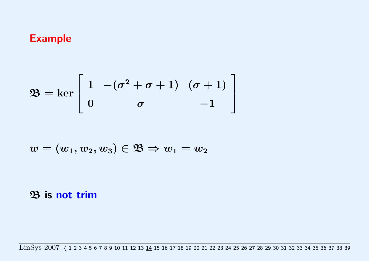<span id="page-25-0"></span>
$$
\mathfrak{B} = \ker \left[ \begin{array}{cc} 1 & -(\sigma^2 + \sigma + 1) & (\sigma + 1) \\ 0 & \sigma & -1 \end{array} \right]
$$

$$
w=(w_1,w_2,w_3)\in\mathfrak{B}\Rightarrow w_1=w_2
$$

B is not trim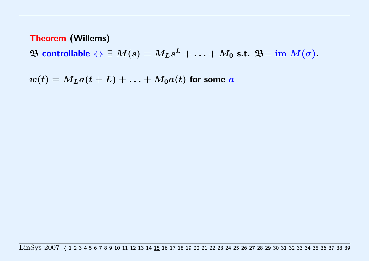$\mathfrak B$  controllable  $\Leftrightarrow \exists \; M(s) = M_L s^L + \ldots + M_0 \; \text{s.t.} \; \mathfrak B = \text{im } M(\sigma).$ 

 $w(t) = M_L a(t+L) + \ldots + M_0 a(t)$  for some a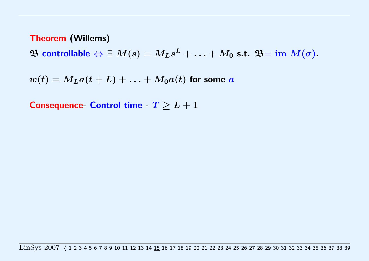$\mathfrak B$  controllable  $\Leftrightarrow \exists \; M(s) = M_L s^L + \ldots + M_0 \; \text{s.t.} \; \mathfrak B = \text{im } M(\sigma).$ 

$$
w(t) = MLa(t+L) + \ldots + M_0a(t)
$$
 for some a

Consequence- Control time -  $T \geq L+1$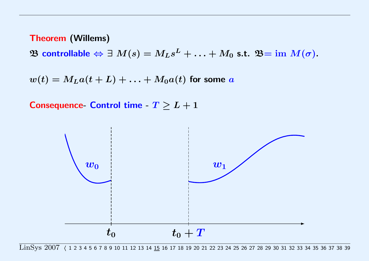<span id="page-28-0"></span> $\mathfrak B$  controllable  $\Leftrightarrow \exists \; M(s) = M_L s^L + \ldots + M_0 \; \text{s.t.} \; \mathfrak B = \text{im } M(\sigma).$ 

 $w(t) = M<sub>L</sub> a(t + L) + \ldots + M<sub>0</sub> a(t)$  for some a

Consequence- Control time -  $T \geq L+1$ 

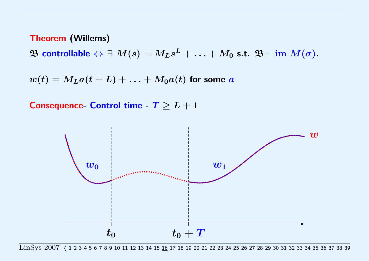<span id="page-29-0"></span> $\mathfrak B$  controllable  $\Leftrightarrow \exists \; M(s) = M_L s^L + \ldots + M_0 \; \text{s.t.} \; \mathfrak B = \text{im } M(\sigma).$ 

 $w(t) = M<sub>L</sub> a(t + L) + \ldots + M<sub>0</sub> a(t)$  for some a

Consequence- Control time -  $T \geq L+1$ 

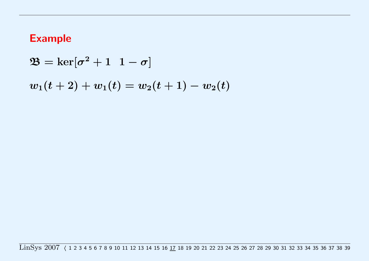$\mathfrak{B}=\ker[\sigma^2+1\;\;1-\sigma]$ 

 $w_1(t+2)+w_1(t)=w_2(t+1)-w_2(t)$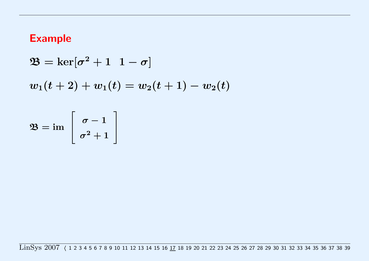$$
\mathfrak{B} = \ker[\sigma^2 + 1 \ 1 - \sigma]
$$
  

$$
w_1(t+2) + w_1(t) = w_2(t+1) - w_2(t)
$$

$$
\mathfrak{B}=\operatorname{im}\;\left[\begin{array}{c}\sigma-1\\\sigma^2+1\end{array}\right]
$$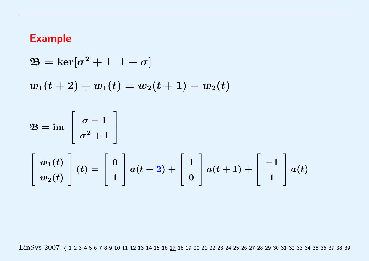$\mathfrak{B}=\ker[\sigma^2+1\;\;1-\sigma]$  $w_1(t+2)+w_1(t)=w_2(t+1)-w_2(t)$ 

$$
\mathfrak{B} = \text{im} \begin{bmatrix} \sigma - 1 \\ \sigma^2 + 1 \end{bmatrix}
$$
  

$$
\begin{bmatrix} w_1(t) \\ w_2(t) \end{bmatrix} (t) = \begin{bmatrix} 0 \\ 1 \end{bmatrix} a(t+2) + \begin{bmatrix} 1 \\ 0 \end{bmatrix} a(t+1) + \begin{bmatrix} -1 \\ 1 \end{bmatrix} a(t)
$$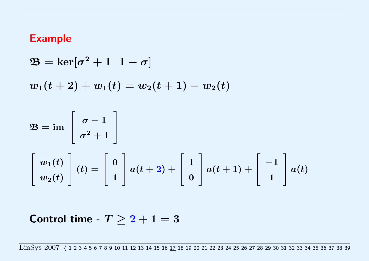<span id="page-33-0"></span> $\mathfrak{B}=\ker[\sigma^2+1\;\;1-\sigma]$  $w_1(t+2)+w_1(t)=w_2(t+1)-w_2(t)$  $\mathfrak{B} = \operatorname{im}$  $\sqrt{ }$  $\overline{\phantom{a}}$  $\sigma-1$ 1  $\mathbb{I}$ 

$$
\begin{bmatrix}\n w_1(t) \\
 w_2(t)\n\end{bmatrix}\n(t) =\n\begin{bmatrix}\n0 \\
1\n\end{bmatrix}\n a(t+2) +\n\begin{bmatrix}\n1 \\
0\n\end{bmatrix}\n a(t+1) +\n\begin{bmatrix}\n-1 \\
1\n\end{bmatrix}\n a(t)
$$

Control time -  $T > 2 + 1 = 3$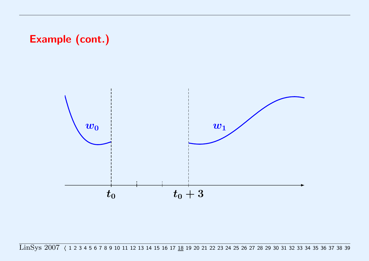## <span id="page-34-0"></span>Example (cont.)

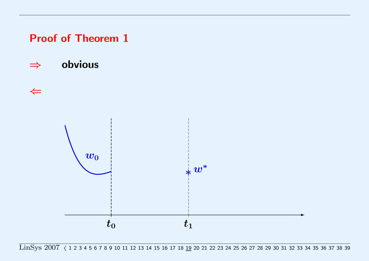<span id="page-35-0"></span>Proof of Theorem 1

⇒ obvious

 $\leftarrow$ 

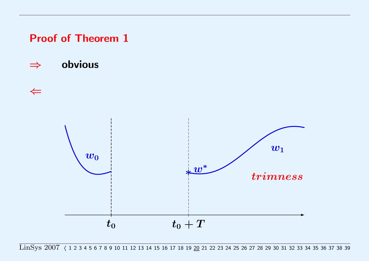<span id="page-36-0"></span>Proof of Theorem 1

⇒ obvious

 $\leftarrow$ 

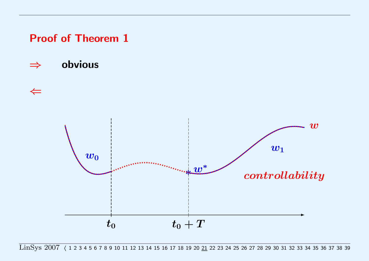<span id="page-37-0"></span>Proof of Theorem 1

⇒ obvious

 $\Leftarrow$ 

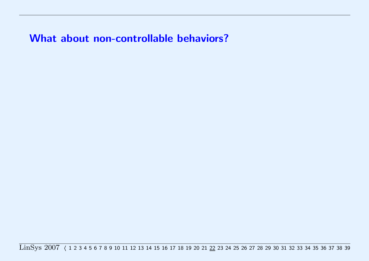What about non-controllable behaviors?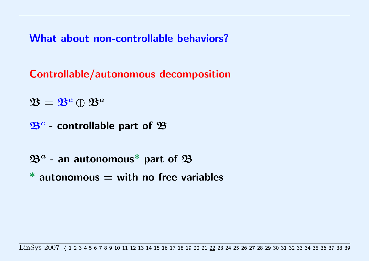<span id="page-39-0"></span>What about non-controllable behaviors?

Controllable/autonomous decomposition

 $\mathfrak{B} = \mathfrak{B}^c \oplus \mathfrak{B}^a$ 

 $\mathfrak{B}^c$  - controllable part of  $\mathfrak B$ 

- $\mathfrak{B}^a$  an autonomous\* part of  $\mathfrak B$
- $*$  autonomous  $=$  with no free variables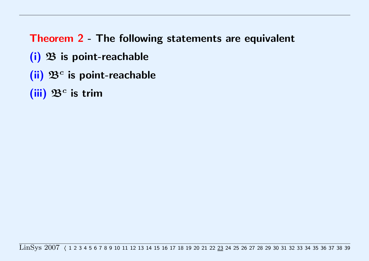Theorem 2 - The following statements are equivalent

- $(i)$   $\mathfrak B$  is point-reachable
- (ii)  $\mathfrak{B}^c$  is point-reachable
- (iii)  $\mathfrak{B}^c$  is trim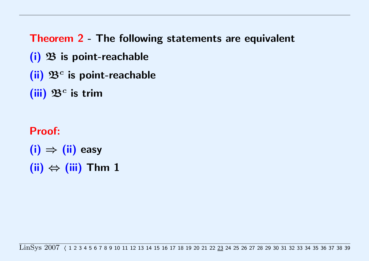<span id="page-41-0"></span>Theorem 2 - The following statements are equivalent

- $(i)$   $\mathfrak B$  is point-reachable
- (ii)  $\mathfrak{B}^c$  is point-reachable
- (iii)  $\mathfrak{B}^c$  is trim
- Proof:  $(ii) \Rightarrow (ii)$  easy  $(iii) \Leftrightarrow (iii)$  Thm 1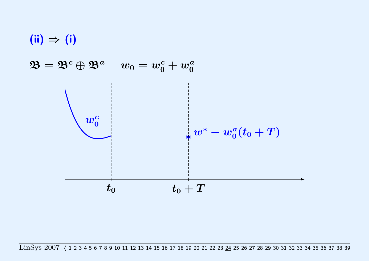<span id="page-42-0"></span>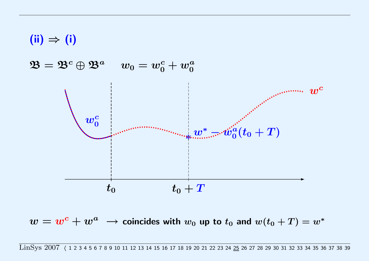<span id="page-43-0"></span>

 $w=w^c+w^a \ \rightarrow$  coincides with  $w_0$  up to  $t_0$  and  $w(t_0+T)=w^*$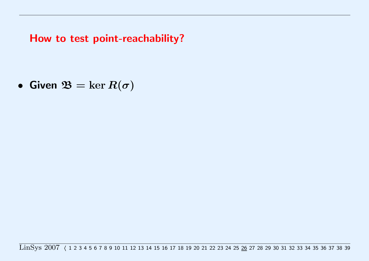• Given  $\mathfrak{B} = \ker R(\sigma)$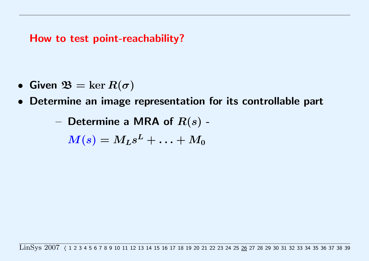- Given  $\mathfrak{B} = \ker R(\sigma)$
- Determine an image representation for its controllable part

- Determine a MRA of 
$$
R(s)
$$
 -

 $\boldsymbol{M(s)=M_{L}s^L+\ldots+M_0}$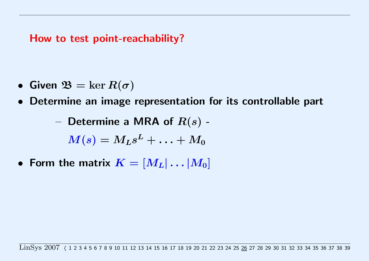- Given  $\mathfrak{B} = \ker R(\sigma)$
- Determine an image representation for its controllable part

- Determine a MRA of 
$$
R(s)
$$
 -

$$
\boldsymbol{M}(s)=\boldsymbol{M}_{\boldsymbol{L}} s^{\boldsymbol{L}}+\ldots+\boldsymbol{M}_{\boldsymbol{0}}
$$

• Form the matrix  $K = [M_L | \dots | M_0]$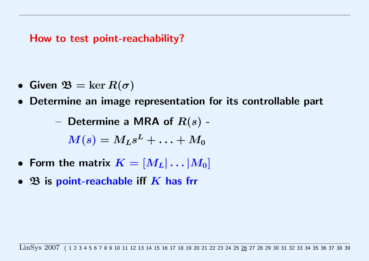- <span id="page-48-0"></span>• Given  $\mathfrak{B} = \ker R(\sigma)$
- Determine an image representation for its controllable part

$$
- \text{ Determine a MRA of } R(s) -
$$

$$
\boldsymbol{M}(s)=\boldsymbol{M_L}s^L+\ldots+ \boldsymbol{M_0}
$$

- Form the matrix  $K = [M_L | \dots | M_0]$
- $\mathfrak B$  is point-reachable iff  $K$  has frr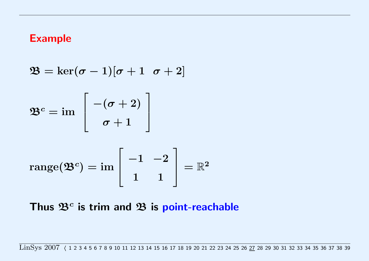<span id="page-49-0"></span>
$$
\mathfrak{B} = \ker(\sigma - 1)[\sigma + 1 \ \sigma + 2]
$$
  

$$
\mathfrak{B}^c = \text{im} \begin{bmatrix} -(\sigma + 2) \\ \sigma + 1 \end{bmatrix}
$$
  

$$
\text{range}(\mathfrak{B}^c) = \text{im} \begin{bmatrix} -1 & -2 \\ 1 & 1 \end{bmatrix} = \mathbb{R}^2
$$

## Thus  $\mathfrak{B}^c$  is trim and  $\mathfrak{B}$  is point-reachable

LinSys 2007 ([1](#page-3-0)23 4 5 6 7 8 9 10 11 12 13 14 15 16 17 18 19 [2](#page-6-0)0 21 22 23 24 25 26 27 28 29 [3](#page-7-0)0 [31](#page-53-0) [32](#page-54-0) [33](#page-55-0) [34](#page-56-0) [35](#page-61-0) [36](#page-62-0) [37](#page-63-0) [38](#page-64-0) [39](#page-65-0)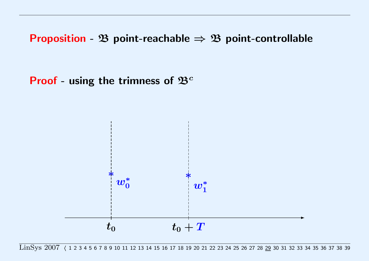<span id="page-51-0"></span>**Proof** - using the trimness of  $\mathfrak{B}^c$ 

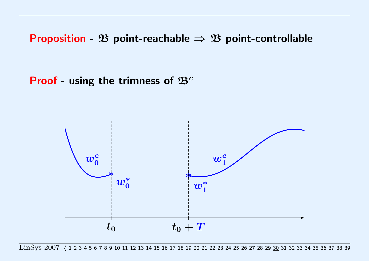<span id="page-52-0"></span>**Proof** - using the trimness of  $\mathfrak{B}^c$ 

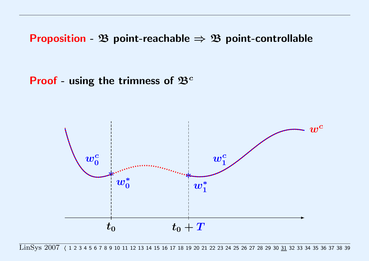<span id="page-53-0"></span>**Proof** - using the trimness of  $\mathfrak{B}^c$ 

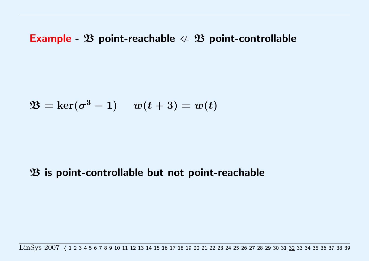### <span id="page-54-0"></span>**Example -**  $\mathfrak{B}$  **point-reachable**  $\notin \mathfrak{B}$  **point-controllable**

$$
\mathfrak{B}=\ker(\sigma^3-1)\hspace{0.4cm} w(t+3)=w(t)
$$

### $\mathfrak B$  is point-controllable but not point-reachable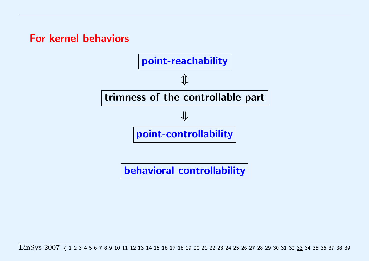<span id="page-55-0"></span>For kernel behaviors



behavioral controllability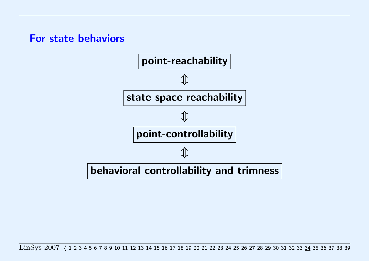### <span id="page-56-0"></span>For state behaviors

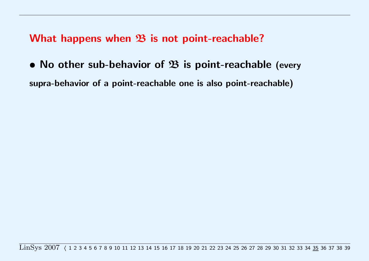• No other sub-behavior of  $\mathfrak B$  is point-reachable (every supra-behavior of a point-reachable one is also point-reachable)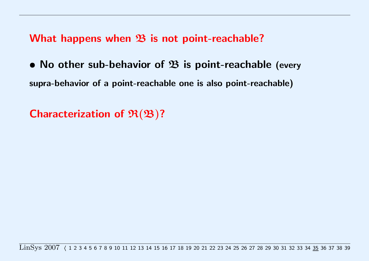• No other sub-behavior of  $\mathfrak B$  is point-reachable (every supra-behavior of a point-reachable one is also point-reachable)

Characterization of  $\mathfrak{R}(\mathfrak{B})$ ?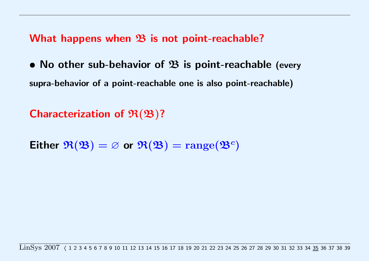• No other sub-behavior of  $\mathfrak B$  is point-reachable (every supra-behavior of a point-reachable one is also point-reachable)

Characterization of  $\mathfrak{R}(\mathfrak{B})$ ?

Either  $\mathfrak{R}(\mathfrak{B}) = \varnothing$  or  $\mathfrak{R}(\mathfrak{B}) = \text{range}(\mathfrak{B}^c)$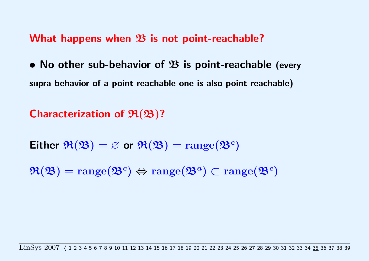<span id="page-61-0"></span>• No other sub-behavior of  $\mathfrak B$  is point-reachable (every supra-behavior of a point-reachable one is also point-reachable)

## Characterization of  $\mathfrak{R}(\mathfrak{B})$ ?

Either  $\mathfrak{R}(\mathfrak{B}) = \varnothing$  or  $\mathfrak{R}(\mathfrak{B}) = \text{range}(\mathfrak{B}^c)$ 

 $\mathfrak{R}(\mathfrak{B}) = \text{range}(\mathfrak{B}^c) \Leftrightarrow \text{range}(\mathfrak{B}^a) \subset \text{range}(\mathfrak{B}^c)$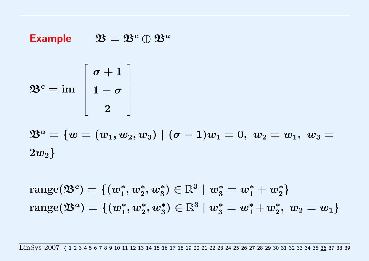#### <span id="page-62-0"></span>**Example**  $\mathfrak{B}=\mathfrak{B}^c\oplus\mathfrak{B}^a$

$$
\mathfrak{B}^c = \operatorname{im} \ \left[\begin{array}{c} \sigma+1\\ 1-\sigma\\ 2 \end{array}\right]
$$

 $\mathfrak{B}^{a}=\{w=(w_{1},w_{2},w_{3})\mid(\sigma-1)w_{1}=0,\;w_{2}=w_{1},\;w_{3}=0\}$  $2w_2\}$ 

 $\mathrm{range}(\mathfrak{B}^c)=\{(w_1^*,w_2^*,w_3^*)\in \mathbb{R}^3\mid w_3^*=w_1^*+w_2^*\}$  $\mathrm{range}(\mathfrak{B}^a)=\{(w_1^*,w_2^*,w_3^*)\in \mathbb{R}^3\mid w_3^*=w_1^*+w_2^*,\ w_2=w_1\}$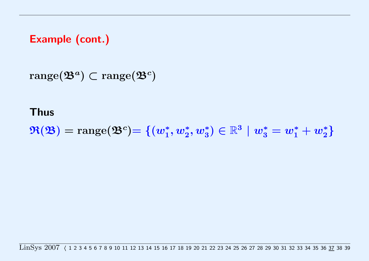<span id="page-63-0"></span>Example (cont.)

 $\mathrm{range}(\mathfrak{B}^a)\subset\mathrm{range}(\mathfrak{B}^c)$ 

### Thus

 $\Re(\mathfrak{B}) = \mathrm{range}(\mathfrak{B}^c) {=} \left\{ (w_1^*, w_2^*, w_3^*) \in \mathbb{R}^3 \,\, | \,\, w_3^* = w_1^* + w_2^* \right\}$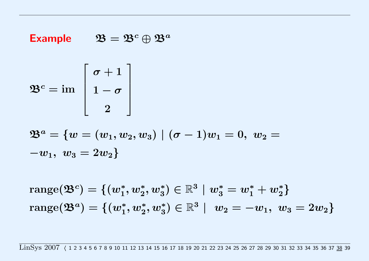## <span id="page-64-0"></span>Example  $\mathfrak{B} = \mathfrak{B}^c \oplus \mathfrak{B}^a$

$$
\mathfrak{B}^c = \operatorname{im} \ \left[\begin{array}{c} \sigma+1\\ 1-\sigma\\ 2 \end{array}\right]
$$

$$
\mathfrak{B}^{a}=\{w=(w_{1},w_{2},w_{3})\mid(\sigma-1)w_{1}=0,\;w_{2}=-w_{1},\;w_{3}=2w_{2}\}
$$

 $\mathrm{range}(\mathfrak{B}^c)=\{(w_1^*,w_2^*,w_3^*)\in \mathbb{R}^3\mid w_3^*=w_1^*+w_2^*\}$  $\mathrm{range}(\mathfrak{B}^a)=\{(w_1^*, w_2^*, w_3^*)\in \mathbb{R}^3\,\,|\,\,\,w_2=-w_1,\,\,w_3=2w_2\}$